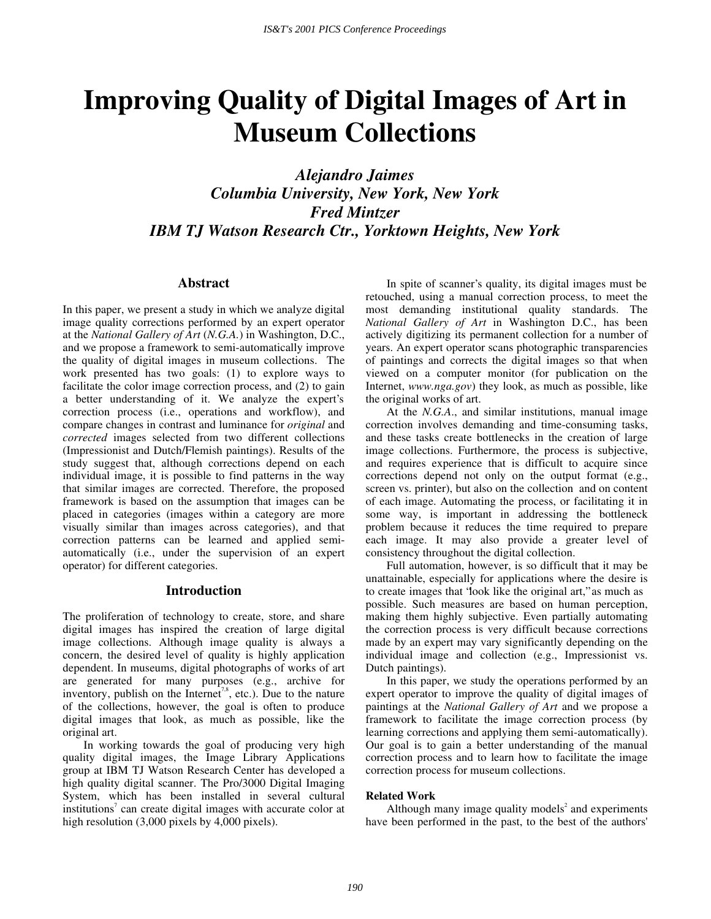# **Improving Quality of Digital Images of Art in Museum Collections**

*Alejandro Jaimes Columbia University, New York, New York Fred Mintzer IBM TJ Watson Research Ctr., Yorktown Heights, New York* 

# **Abstract**

In this paper, we present a study in which we analyze digital image quality corrections performed by an expert operator at the *National Gallery of Art* (*N.G.A.*) in Washington, D.C., and we propose a framework to semi-automatically improve the quality of digital images in museum collections. The work presented has two goals: (1) to explore ways to facilitate the color image correction process, and (2) to gain a better understanding of it. We analyze the expert's correction process (i.e., operations and workflow), and compare changes in contrast and luminance for *original* and *corrected* images selected from two different collections (Impressionist and Dutch/Flemish paintings). Results of the study suggest that, although corrections depend on each individual image, it is possible to find patterns in the way that similar images are corrected. Therefore, the proposed framework is based on the assumption that images can be placed in categories (images within a category are more visually similar than images across categories), and that correction patterns can be learned and applied semiautomatically (i.e., under the supervision of an expert operator) for different categories.

# **Introduction**

The proliferation of technology to create, store, and share digital images has inspired the creation of large digital image collections. Although image quality is always a concern, the desired level of quality is highly application dependent. In museums, digital photographs of works of art are generated for many purposes (e.g., archive for inventory, publish on the Internet<sup>7,8</sup>, etc.). Due to the nature of the collections, however, the goal is often to produce digital images that look, as much as possible, like the original art.

In working towards the goal of producing very high quality digital images, the Image Library Applications group at IBM TJ Watson Research Center has developed a high quality digital scanner. The Pro/3000 Digital Imaging System, which has been installed in several cultural institutions<sup> $7$ </sup> can create digital images with accurate color at high resolution (3,000 pixels by 4,000 pixels).

In spite of scanner's quality, its digital images must be retouched, using a manual correction process, to meet the most demanding institutional quality standards. The *National Gallery of Art* in Washington D.C., has been actively digitizing its permanent collection for a number of years. An expert operator scans photographic transparencies of paintings and corrects the digital images so that when viewed on a computer monitor (for publication on the Internet, *www.nga.gov*) they look, as much as possible, like the original works of art.

At the *N.G.A*., and similar institutions, manual image correction involves demanding and time-consuming tasks, and these tasks create bottlenecks in the creation of large image collections. Furthermore, the process is subjective, and requires experience that is difficult to acquire since corrections depend not only on the output format (e.g., screen vs. printer), but also on the collection and on content of each image. Automating the process, or facilitating it in some way, is important in addressing the bottleneck problem because it reduces the time required to prepare each image. It may also provide a greater level of consistency throughout the digital collection.

Full automation, however, is so difficult that it may be unattainable, especially for applications where the desire is to create images that "look like the original art," as much as possible. Such measures are based on human perception, making them highly subjective. Even partially automating the correction process is very difficult because corrections made by an expert may vary significantly depending on the individual image and collection (e.g., Impressionist vs. Dutch paintings).

In this paper, we study the operations performed by an expert operator to improve the quality of digital images of paintings at the *National Gallery of Art* and we propose a framework to facilitate the image correction process (by learning corrections and applying them semi-automatically). Our goal is to gain a better understanding of the manual correction process and to learn how to facilitate the image correction process for museum collections.

#### **Related Work**

Although many image quality models<sup>2</sup> and experiments have been performed in the past, to the best of the authors'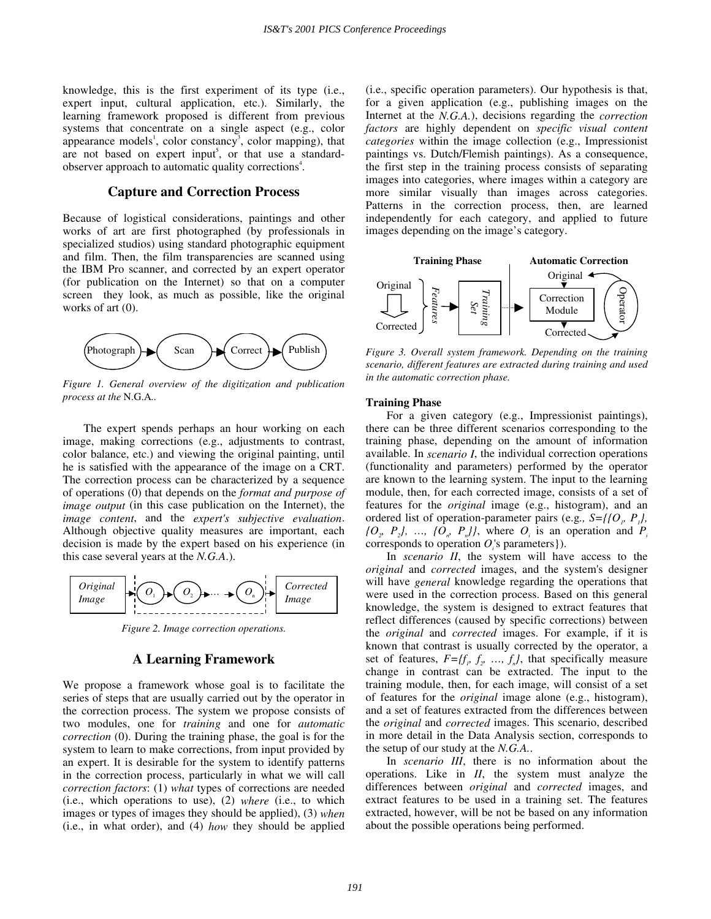knowledge, this is the first experiment of its type (i.e., expert input, cultural application, etc.). Similarly, the learning framework proposed is different from previous systems that concentrate on a single aspect (e.g., color appearance models<sup>1</sup>, color constancy<sup>3</sup>, color mapping), that are not based on expert input<sup>5</sup>, or that use a standardobserver approach to automatic quality corrections<sup>4</sup>.

# **Capture and Correction Process**

Because of logistical considerations, paintings and other works of art are first photographed (by professionals in specialized studios) using standard photographic equipment and film. Then, the film transparencies are scanned using the IBM Pro scanner, and corrected by an expert operator (for publication on the Internet) so that on a computer screen they look, as much as possible, like the original works of art (0).



*Figure 1. General overview of the digitization and publication process at the* N.G.A*..* 

The expert spends perhaps an hour working on each image, making corrections (e.g., adjustments to contrast, color balance, etc.) and viewing the original painting, until he is satisfied with the appearance of the image on a CRT. The correction process can be characterized by a sequence of operations (0) that depends on the *format and purpose of image output* (in this case publication on the Internet), the *image content*, and the *expert's subjective evaluation*. Although objective quality measures are important, each decision is made by the expert based on his experience (in this case several years at the *N.G.A*.).



*Figure 2. Image correction operations.* 

# **A Learning Framework**

We propose a framework whose goal is to facilitate the series of steps that are usually carried out by the operator in the correction process. The system we propose consists of two modules, one for *training* and one for *automatic correction* (0). During the training phase, the goal is for the system to learn to make corrections, from input provided by an expert. It is desirable for the system to identify patterns in the correction process, particularly in what we will call *correction factors*: (1) *what* types of corrections are needed (i.e., which operations to use), (2) *where* (i.e., to which images or types of images they should be applied), (3) *when* (i.e., in what order), and (4) *how* they should be applied (i.e., specific operation parameters). Our hypothesis is that, for a given application (e.g., publishing images on the Internet at the *N.G.A.*), decisions regarding the *correction factors* are highly dependent on *specific visual content categories* within the image collection (e.g., Impressionist paintings vs. Dutch/Flemish paintings). As a consequence, the first step in the training process consists of separating images into categories, where images within a category are more similar visually than images across categories. Patterns in the correction process, then, are learned independently for each category, and applied to future images depending on the image's category.



*Figure 3. Overall system framework. Depending on the training scenario, different features are extracted during training and used in the automatic correction phase.* 

#### **Training Phase**

For a given category (e.g., Impressionist paintings), there can be three different scenarios corresponding to the training phase, depending on the amount of information available. In *scenario I*, the individual correction operations (functionality and parameters) performed by the operator are known to the learning system. The input to the learning module, then, for each corrected image, consists of a set of features for the *original* image (e.g., histogram), and an ordered list of operation-parameter pairs (e.g*., S={{O1, P1},*   $\{O_{p}, P_{p}\}, \ldots, \{O_{p}, P_{n}\}\}\$ , where  $O_{i}$  is an operation and  $P_{i}$ corresponds to operation  $O_i$ 's parameters }).

In *scenario II*, the system will have access to the *original* and *corrected* images, and the system's designer will have *general* knowledge regarding the operations that were used in the correction process. Based on this general knowledge, the system is designed to extract features that reflect differences (caused by specific corrections) between the *original* and *corrected* images. For example, if it is known that contrast is usually corrected by the operator, a set of features,  $F=f(f_p, f_p, ..., f_n)$ , that specifically measure change in contrast can be extracted. The input to the training module, then, for each image, will consist of a set of features for the *original* image alone (e.g., histogram), and a set of features extracted from the differences between the *original* and *corrected* images. This scenario, described in more detail in the Data Analysis section, corresponds to the setup of our study at the *N.G.A.*.

In *scenario III*, there is no information about the operations. Like in *II*, the system must analyze the differences between *original* and *corrected* images, and extract features to be used in a training set. The features extracted, however, will be not be based on any information about the possible operations being performed.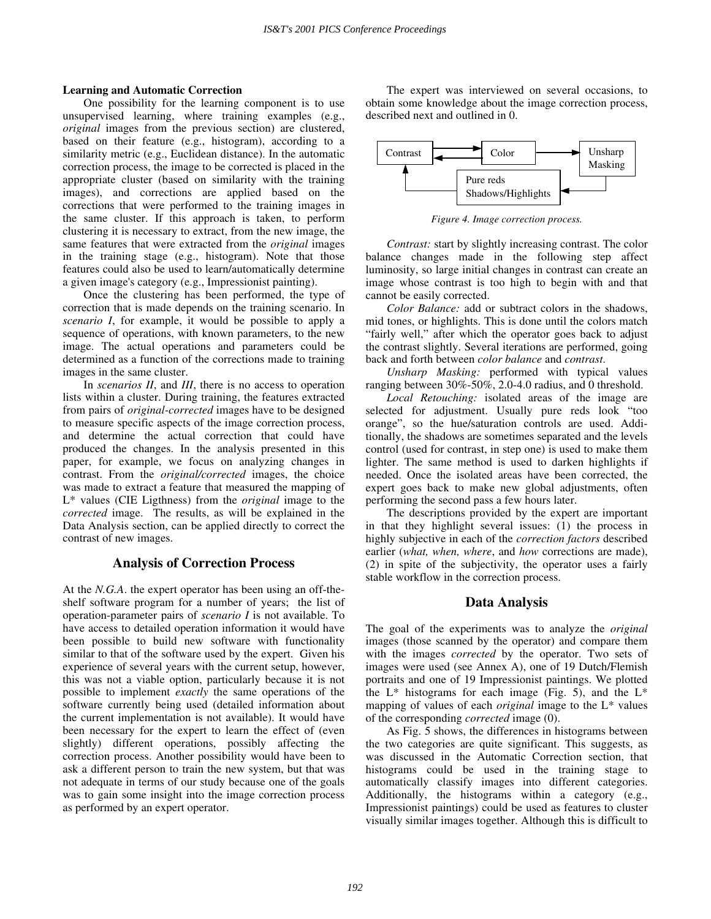#### **Learning and Automatic Correction**

One possibility for the learning component is to use unsupervised learning, where training examples (e.g., *original* images from the previous section) are clustered, based on their feature (e.g., histogram), according to a similarity metric (e.g., Euclidean distance). In the automatic correction process, the image to be corrected is placed in the appropriate cluster (based on similarity with the training images), and corrections are applied based on the corrections that were performed to the training images in the same cluster. If this approach is taken, to perform clustering it is necessary to extract, from the new image, the same features that were extracted from the *original* images in the training stage (e.g., histogram). Note that those features could also be used to learn/automatically determine a given image's category (e.g., Impressionist painting).

Once the clustering has been performed, the type of correction that is made depends on the training scenario. In *scenario I*, for example, it would be possible to apply a sequence of operations, with known parameters, to the new image. The actual operations and parameters could be determined as a function of the corrections made to training images in the same cluster.

In *scenarios II*, and *III*, there is no access to operation lists within a cluster. During training, the features extracted from pairs of *original-corrected* images have to be designed to measure specific aspects of the image correction process, and determine the actual correction that could have produced the changes. In the analysis presented in this paper, for example, we focus on analyzing changes in contrast. From the *original/corrected* images, the choice was made to extract a feature that measured the mapping of L\* values (CIE Ligthness) from the *original* image to the *corrected* image. The results, as will be explained in the Data Analysis section, can be applied directly to correct the contrast of new images.

## **Analysis of Correction Process**

At the *N.G.A*. the expert operator has been using an off-theshelf software program for a number of years; the list of operation-parameter pairs of *scenario I* is not available. To have access to detailed operation information it would have been possible to build new software with functionality similar to that of the software used by the expert. Given his experience of several years with the current setup, however, this was not a viable option, particularly because it is not possible to implement *exactly* the same operations of the software currently being used (detailed information about the current implementation is not available). It would have been necessary for the expert to learn the effect of (even slightly) different operations, possibly affecting the correction process. Another possibility would have been to ask a different person to train the new system, but that was not adequate in terms of our study because one of the goals was to gain some insight into the image correction process as performed by an expert operator.

The expert was interviewed on several occasions, to obtain some knowledge about the image correction process, described next and outlined in 0.



*Figure 4. Image correction process.* 

*Contrast:* start by slightly increasing contrast. The color balance changes made in the following step affect luminosity, so large initial changes in contrast can create an image whose contrast is too high to begin with and that cannot be easily corrected.

*Color Balance:* add or subtract colors in the shadows, mid tones, or highlights. This is done until the colors match "fairly well," after which the operator goes back to adjust the contrast slightly. Several iterations are performed, going back and forth between *color balance* and *contrast*.

*Unsharp Masking:* performed with typical values ranging between 30%-50%, 2.0-4.0 radius, and 0 threshold.

*Local Retouching:* isolated areas of the image are selected for adjustment. Usually pure reds look "too orange", so the hue/saturation controls are used. Additionally, the shadows are sometimes separated and the levels control (used for contrast, in step one) is used to make them lighter. The same method is used to darken highlights if needed. Once the isolated areas have been corrected, the expert goes back to make new global adjustments, often performing the second pass a few hours later.

The descriptions provided by the expert are important in that they highlight several issues: (1) the process in highly subjective in each of the *correction factors* described earlier (*what, when, where*, and *how* corrections are made), (2) in spite of the subjectivity, the operator uses a fairly stable workflow in the correction process.

#### **Data Analysis**

The goal of the experiments was to analyze the *original* images (those scanned by the operator) and compare them with the images *corrected* by the operator. Two sets of images were used (see Annex A), one of 19 Dutch/Flemish portraits and one of 19 Impressionist paintings. We plotted the  $L^*$  histograms for each image (Fig. 5), and the  $L^*$ mapping of values of each *original* image to the L\* values of the corresponding *corrected* image (0).

As Fig. 5 shows, the differences in histograms between the two categories are quite significant. This suggests, as was discussed in the Automatic Correction section, that histograms could be used in the training stage to automatically classify images into different categories. Additionally, the histograms within a category (e.g., Impressionist paintings) could be used as features to cluster visually similar images together. Although this is difficult to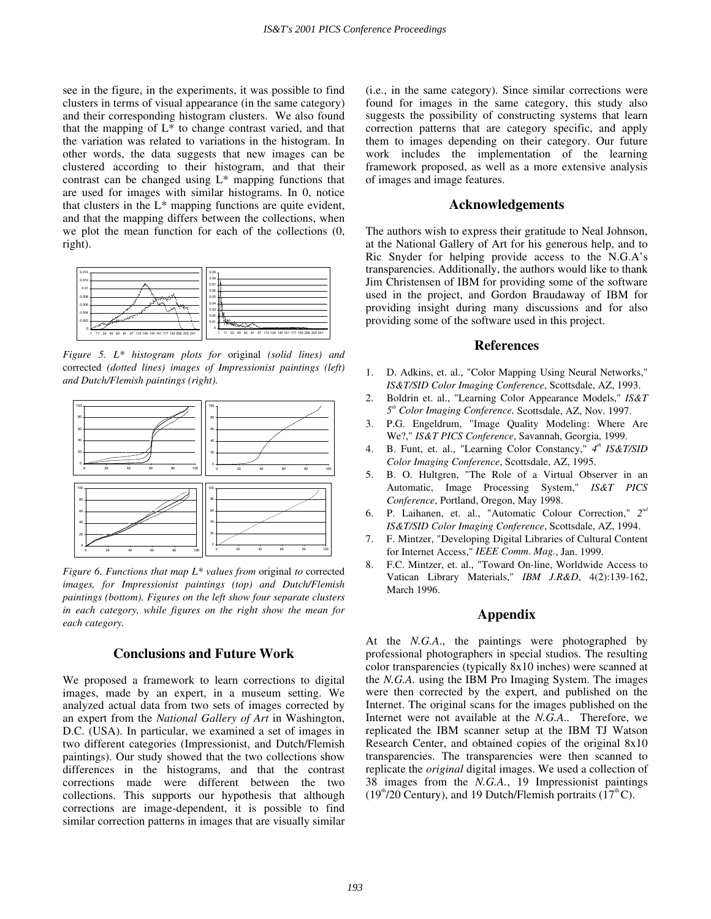see in the figure, in the experiments, it was possible to find clusters in terms of visual appearance (in the same category) and their corresponding histogram clusters. We also found that the mapping of  $L^*$  to change contrast varied, and that the variation was related to variations in the histogram. In other words, the data suggests that new images can be clustered according to their histogram, and that their contrast can be changed using  $L^*$  mapping functions that are used for images with similar histograms. In 0, notice that clusters in the  $L^*$  mapping functions are quite evident, and that the mapping differs between the collections, when we plot the mean function for each of the collections (0, right).



*Figure 5. L\* histogram plots for* original *(solid lines) and*  corrected *(dotted lines) images of Impressionist paintings (left) and Dutch/Flemish paintings (right).* 



*Figure 6. Functions that map L\* values from* original *to* corrected *images, for Impressionist paintings (top) and Dutch/Flemish paintings (bottom). Figures on the left show four separate clusters in each category, while figures on the right show the mean for each category.* 

# **Conclusions and Future Work**

We proposed a framework to learn corrections to digital images, made by an expert, in a museum setting. We analyzed actual data from two sets of images corrected by an expert from the *National Gallery of Art* in Washington, D.C. (USA). In particular, we examined a set of images in two different categories (Impressionist, and Dutch/Flemish paintings). Our study showed that the two collections show differences in the histograms, and that the contrast corrections made were different between the two collections. This supports our hypothesis that although corrections are image-dependent, it is possible to find similar correction patterns in images that are visually similar (i.e., in the same category). Since similar corrections were found for images in the same category, this study also suggests the possibility of constructing systems that learn correction patterns that are category specific, and apply them to images depending on their category. Our future work includes the implementation of the learning framework proposed, as well as a more extensive analysis of images and image features.

# **Acknowledgements**

The authors wish to express their gratitude to Neal Johnson, at the National Gallery of Art for his generous help, and to Ric Snyder for helping provide access to the N.G.A's transparencies. Additionally, the authors would like to thank Jim Christensen of IBM for providing some of the software used in the project, and Gordon Braudaway of IBM for providing insight during many discussions and for also providing some of the software used in this project.

# **References**

- 1. D. Adkins, et. al., "Color Mapping Using Neural Networks," *IS&T/SID Color Imaging Conference*, Scottsdale, AZ, 1993.
- 2. Boldrin et. al., "Learning Color Appearance Models," *IS&T*   $5<sup>th</sup> Color Imaging Conference, Scottish, AZ, Nov. 1997.$
- 3. P.G. Engeldrum, "Image Quality Modeling: Where Are We?," *IS&T PICS Conference*, Savannah, Georgia, 1999.
- 4. B. Funt, et. al., "Learning Color Constancy,"  $4<sup>th</sup> IS&T/SID$ *Color Imaging Conference*, Scottsdale, AZ, 1995.
- 5. B. O. Hultgren, "The Role of a Virtual Observer in an Automatic, Image Processing System," *IS&T PICS Conference*, Portland, Oregon, May 1998.
- 6. P. Laihanen, et. al., "Automatic Colour Correction," 2<sup>nd</sup> *IS&T/SID Color Imaging Conference*, Scottsdale, AZ, 1994.
- 7. F. Mintzer, "Developing Digital Libraries of Cultural Content for Internet Access," *IEEE Comm. Mag.*, Jan. 1999.
- 8. F.C. Mintzer, et. al., "Toward On-line, Worldwide Access to Vatican Library Materials," *IBM J.R&D*, 4(2):139-162, March 1996.

# **Appendix**

At the *N.G.A*., the paintings were photographed by professional photographers in special studios. The resulting color transparencies (typically 8x10 inches) were scanned at the *N.G.A.* using the IBM Pro Imaging System. The images were then corrected by the expert, and published on the Internet. The original scans for the images published on the Internet were not available at the *N.G.A..* Therefore, we replicated the IBM scanner setup at the IBM TJ Watson Research Center, and obtained copies of the original 8x10 transparencies. The transparencies were then scanned to replicate the *original* digital images. We used a collection of 38 images from the *N.G.A.*, 19 Impressionist paintings  $(19<sup>th</sup>/20$  Century), and 19 Dutch/Flemish portraits  $(17<sup>th</sup>C)$ .